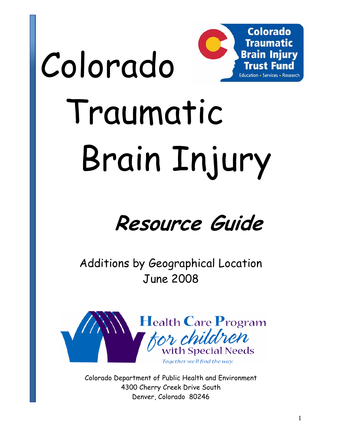

# Traumatic Brain Injury

Colorado

# **Resource Guide**

Additions by Geographical Location June 2008



Colorado Department of Public Health and Environment 4300 Cherry Creek Drive South Denver, Colorado 80246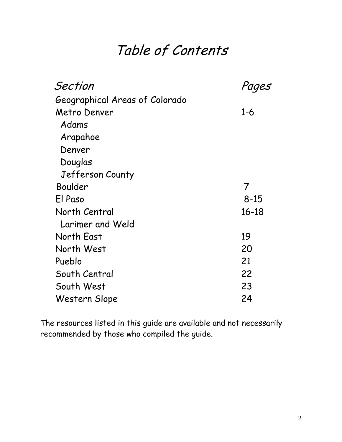# Table of Contents

| Section                        |           |
|--------------------------------|-----------|
| Geographical Areas of Colorado |           |
| Metro Denver                   | $1 - 6$   |
| Adams                          |           |
| Arapahoe                       |           |
| Denver                         |           |
| Douglas                        |           |
| Jefferson County               |           |
| Boulder                        | 7         |
| El Paso                        | $8 - 15$  |
| North Central                  | $16 - 18$ |
| Larimer and Weld               |           |
| North East                     | 19        |
| North West                     | 20        |
| Pueblo                         | 21        |
| South Central                  | 22        |
| South West                     | 23        |
| Western Slope                  | 24        |

The resources listed in this guide are available and not necessarily recommended by those who compiled the guide.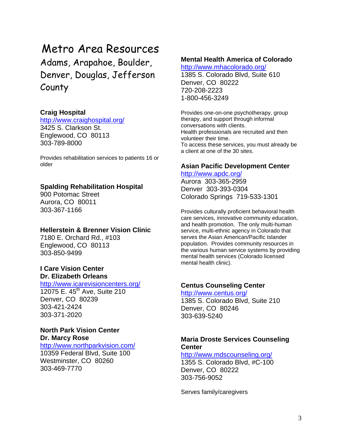# Metro Area Resources

Adams, Arapahoe, Boulder, Denver, Douglas, Jefferson County

#### **Craig Hospital**

<http://www.craighospital.org/> 3425 S. Clarkson St. Englewood, CO 80113 303-789-8000

Provides rehabilitation services to patients 16 or older

#### **Spalding Rehabilitation Hospital**

900 Potomac Street Aurora, CO 80011 303-367-1166

#### **Hellerstein & Brenner Vision Clinic**

7180 E. Orchard Rd., #103 Englewood, CO 80113 303-850-9499

#### **I Care Vision Center Dr. Elizabeth Orleans**

<http://www.icarevisioncenters.org/> 12075 E. 45<sup>th</sup> Ave, Suite 210 Denver, CO 80239 303-421-2424 303-371-2020

#### **North Park Vision Center Dr. Marcy Rose**

#### <http://www.northparkvision.com/>

10359 Federal Blvd, Suite 100 Westminster, CO 80260 303-469-7770

#### **Mental Health America of Colorado**

<http://www.mhacolorado.org/>

1385 S. Colorado Blvd, Suite 610 Denver, CO 80222 720-208-2223 1-800-456-3249

Provides one-on-one psychotherapy, group therapy, and support through informal conversations with clients. Health professionals are recruited and then volunteer their time. To access these services, you must already be a client at one of the 30 sites.

#### **Asian Pacific Development Center**

#### <http://www.apdc.org/>

Aurora 303-365-2959 Denver 303-393-0304 Colorado Springs 719-533-1301

Provides culturally proficient behavioral health care services, innovative community education, and health promotion. The only multi-human service, multi-ethnic agency in Colorado that serves the Asian American/Pacific Islander population. Provides community resources in the various human service systems by providing mental health services (Colorado licensed mental health clinic).

#### **Centus Counseling Center**

<http://www.centus.org/>

1385 S. Colorado Blvd, Suite 210 Denver, CO 80246 303-639-5240

#### **Maria Droste Services Counseling Center**

<http://www.mdscounseling.org/> 1355 S. Colorado Blvd, #C-100 Denver, CO 80222 303-756-9052

Serves family/caregivers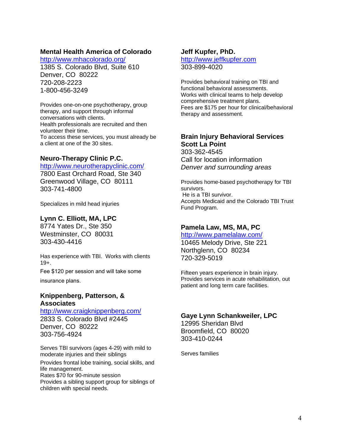#### **Mental Health America of Colorado**

<http://www.mhacolorado.org/>

1385 S. Colorado Blvd, Suite 610 Denver, CO 80222 720-208-2223 1-800-456-3249

Provides one-on-one psychotherapy, group therapy, and support through informal conversations with clients. Health professionals are recruited and then volunteer their time. To access these services, you must already be a client at one of the 30 sites.

#### **Neuro-Therapy Clinic P.C.**

#### <http://www.neurotherapyclinic.com/>

7800 East Orchard Road, Ste 340 Greenwood Village, CO 80111 303-741-4800

Specializes in mild head injuries

#### **Lynn C. Elliott, MA, LPC**

8774 Yates Dr., Ste 350 Westminster, CO 80031 303-430-4416

Has experience with TBI. Works with clients 19+.

Fee \$120 per session and will take some

insurance plans.

#### **Knippenberg, Patterson, & Associates**

<http://www.craigknippenberg.com/> 2833 S. Colorado Blvd #2445 Denver, CO 80222 303-756-4924

Serves TBI survivors (ages 4-29) with mild to moderate injuries and their siblings Provides frontal lobe training, social skills, and life management. Rates \$70 for 90-minute session Provides a sibling support group for siblings of children with special needs.

#### **Jeff Kupfer, PhD.**

#### [http://www.jeffkupfer.com](http://www.jeffkupfer.com/) 303-899-4020

Provides behavioral training on TBI and functional behavioral assessments. Works with clinical teams to help develop comprehensive treatment plans. Fees are \$175 per hour for clinical/behavioral therapy and assessment.

#### **Brain Injury Behavioral Services Scott La Point**

303-362-4545 Call for location information *Denver and surrounding areas* 

Provides home-based psychotherapy for TBI survivors. He is a TBI survivor. Accepts Medicaid and the Colorado TBI Trust Fund Program.

#### **Pamela Law, MS, MA, PC**

<http://www.pamelalaw.com/> 10465 Melody Drive, Ste 221 Northglenn, CO 80234 720-329-5019

Fifteen years experience in brain injury. Provides services in acute rehabilitation, out patient and long term care facilities.

#### **Gaye Lynn Schankweiler, LPC**

12995 Sheridan Blvd Broomfield, CO 80020 303-410-0244

Serves families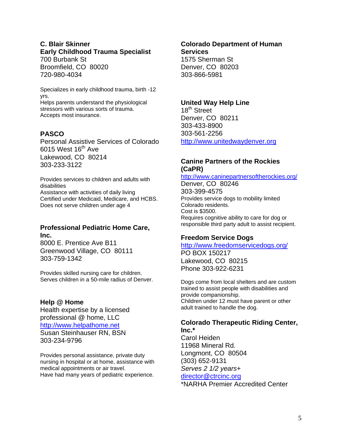#### **C. Blair Skinner Early Childhood Trauma Specialist**

700 Burbank St Broomfield, CO 80020 720-980-4034

Specializes in early childhood trauma, birth -12 yrs.

Helps parents understand the physiological stressors with various sorts of trauma. Accepts most insurance.

#### **PASCO**

Personal Assistive Services of Colorado 6015 West  $16<sup>th</sup>$  Ave Lakewood, CO 80214 303-233-3122

Provides services to children and adults with disabilities Assistance with activities of daily living Certified under Medicaid, Medicare, and HCBS. Does not serve children under age 4

#### **Professional Pediatric Home Care, Inc.**

8000 E. Prentice Ave B11 Greenwood Village, CO 80111 303-759-1342

Provides skilled nursing care for children. Serves children in a 50-mile radius of Denver.

#### **Help @ Home**

Health expertise by a licensed professional @ home, LLC [http://www.helpathome.net](http://www.helpathome.net/) Susan Steinhauser RN, BSN 303-234-9796

Provides personal assistance, private duty nursing in hospital or at home, assistance with medical appointments or air travel. Have had many years of pediatric experience.

#### **Colorado Department of Human Services**  1575 Sherman St

Denver, CO 80203 303-866-5981

#### **United Way Help Line**

18<sup>th</sup> Street Denver, CO 80211 303-433-8900 303-561-2256 [http://www.unitedwaydenver.org](http://www.unitedwaydenver.org/)

#### **Canine Partners of the Rockies (CaPR)**

<http://www.caninepartnersoftherockies.org/>

Denver, CO 80246 303-399-4575 Provides service dogs to mobility limited Colorado residents. Cost is \$3500. Requires cognitive ability to care for dog or responsible third party adult to assist recipient.

#### **Freedom Service Dogs**

#### <http://www.freedomservicedogs.org/> PO BOX 150217

Lakewood, CO 80215 Phone 303-922-6231

Dogs come from local shelters and are custom trained to assist people with disabilities and provide companionship. Children under 12 must have parent or other adult trained to handle the dog.

#### **Colorado Therapeutic Riding Center, Inc.\***

Carol Heiden 11968 Mineral Rd. Longmont, CO 80504 (303) 652-9131 *Serves 2 1/2 years+*  [director@ctrcinc.org](mailto:director@ctrcinc.org) \*NARHA Premier Accredited Center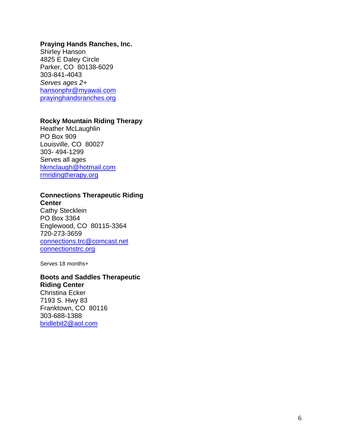#### **Praying Hands Ranches, Inc.**

Shirley Hanson 4825 E Daley Circle Parker, CO 80138-6029 303-841-4043 *Serves ages 2+*  [hansonphr@myawai.com](mailto:hansonphr@myawai.com) [prayinghandsranches.org](http://prayinghandsranches.org/)

#### **Rocky Mountain Riding Therapy**

Heather McLaughlin PO Box 909 Louisville, CO 80027 303- 494-1299 Serves all ages [hkmclaugh@hotmail.com](mailto:hkmclaugh@hotmail.com) [rmridingtherapy.org](http://rmridingtherapy.org/)

#### **Connections Therapeutic Riding Center**

Cathy Stecklein PO Box 3364 Englewood, CO 80115-3364 720-273-3659 [connections.trc@comcast.net](mailto:connections.trc@comcast.net) [connectionstrc.org](http://connectionstrc.org/)

Serves 18 months+

#### **Boots and Saddles Therapeutic Riding Center**

Christina Ecker 7193 S. Hwy 83 Franktown, CO 80116 303-688-1388 [bridlebit2@aol.com](mailto:bridlebit2@aol.com)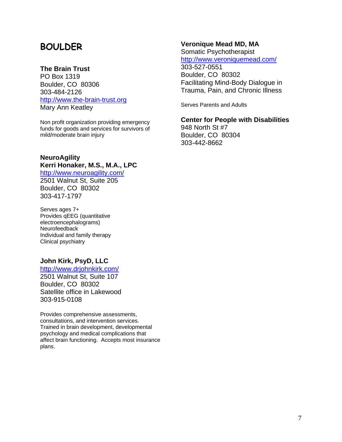# **BOULDER**

#### **The Brain Trust**

PO Box 1319 Boulder, CO 80306 303-484-2126 [http://www.the-brain-trust.org](http://www.the-brain-trust.org/) Mary Ann Keatley

Non profit organization providing emergency funds for goods and services for survivors of mild/moderate brain injury

#### **NeuroAgility Kerri Honaker, M.S., M.A., LPC**

<http://www.neuroagility.com/> 2501 Walnut St, Suite 205 Boulder, CO 80302 303-417-1797

Serves ages 7+ Provides qEEG (quantitative electroencephalograms) **Neurofeedback** Individual and family therapy Clinical psychiatry

#### **John Kirk, PsyD, LLC**

<http://www.drjohnkirk.com/> 2501 Walnut St, Suite 107 Boulder, CO 80302 Satellite office in Lakewood 303-915-0108

Provides comprehensive assessments, consultations, and intervention services. Trained in brain development, developmental psychology and medical complications that affect brain functioning. Accepts most insurance plans.

#### **Veronique Mead MD, MA**

Somatic Psychotherapist <http://www.veroniquemead.com/>

303-527-0551 Boulder, CO 80302 Facilitating Mind-Body Dialogue in Trauma, Pain, and Chronic Illness

Serves Parents and Adults

**Center for People with Disabilities**  948 North St #7 Boulder, CO 80304 303-442-8662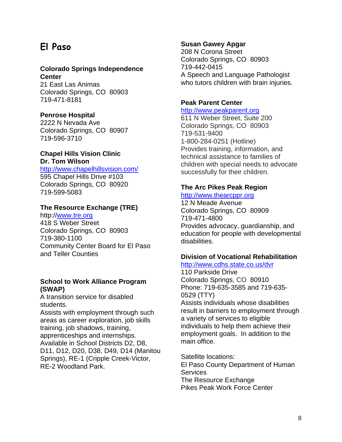# **El Paso**

#### **Colorado Springs Independence Center**

21 East Las Animas Colorado Springs, CO 80903 719-471-8181

#### **Penrose Hospital**

2222 N Nevada Ave Colorado Springs, CO 80907 719-596-3710

#### **Chapel Hills Vision Clinic Dr. Tom Wilson**

<http://www.chapelhillsvision.com/> 595 Chapel Hills Drive #103 Colorado Springs, CO 80920 719-599-5083

#### **The Resource Exchange (TRE)**

http:/[/www.tre.org](http://www.tre.org/) 418 S Weber Street Colorado Springs, CO 80903 719-380-1100 Community Center Board for El Paso and Teller Counties

#### **School to Work Alliance Program (SWAP)**

A transition service for disabled students.

Assists with employment through such areas as career exploration, job skills training, job shadows, training, apprenticeships and internships. Available in School Districts D2, D8, D11, D12, D20, D38, D49, D14 (Manitou Springs), RE-1 (Cripple Creek-Victor, RE-2 Woodland Park.

#### **Susan Gawey Apgar**

208 N Corona Street Colorado Springs, CO 80903 719-442-0415 A Speech and Language Pathologist who tutors children with brain injuries.

#### **Peak Parent Center**

#### [http://www.peakparent.org](http://www.peakparent.org/)

611 N Weber Street, Suite 200 Colorado Springs, CO 80903 719-531-9400 1-800-284-0251 (Hotline) Provides training, information, and technical assistance to families of children with special needs to advocate successfully for their children.

#### **The Arc Pikes Peak Region**

#### [http://www.thearcppr.org](http://www.thearcppr.org/)

12 N Meade Avenue Colorado Springs, CO 80909 719-471-4800 Provides advocacy, guardianship, and education for people with developmental disabilities.

#### **Division of Vocational Rehabilitation**

#### <http://www.cdhs.state.co.us/dvr>

110 Parkside Drive Colorado Springs, CO 80910 Phone: 719-635-3585 and 719-635- 0529 (TTY) Assists individuals whose disabilities result in barriers to employment through a variety of services to eligible individuals to help them achieve their employment goals. In addition to the main office.

Satellite locations: El Paso County Department of Human Services The Resource Exchange Pikes Peak Work Force Center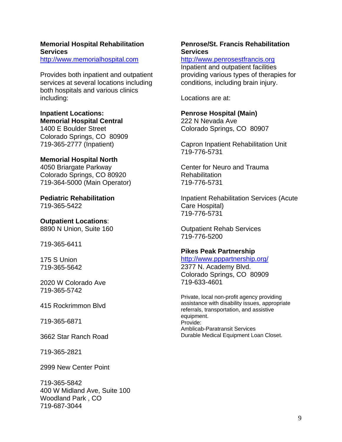#### **Memorial Hospital Rehabilitation Services**

[http://www.memorialhospital.com](http://www.memorialhospital.com/)

Provides both inpatient and outpatient services at several locations including both hospitals and various clinics including:

#### **Inpatient Locations: Memorial Hospital Central**

1400 E Boulder Street Colorado Springs, CO 80909 719-365-2777 (Inpatient)

#### **Memorial Hospital North**

4050 Briargate Parkway Colorado Springs, CO 80920 719-364-5000 (Main Operator)

**Pediatric Rehabilitation**  719-365-5422

**Outpatient Locations**: 8890 N Union, Suite 160

719-365-6411

175 S Union 719-365-5642

2020 W Colorado Ave 719-365-5742

415 Rockrimmon Blvd

719-365-6871

3662 Star Ranch Road

719-365-2821

2999 New Center Point

719-365-5842 400 W Midland Ave, Suite 100 Woodland Park , CO 719-687-3044

#### **Penrose/St. Francis Rehabilitation Services**

#### [http://www.penrosestfrancis.org](http://www.penrosestfrancis.org/)

Inpatient and outpatient facilities providing various types of therapies for conditions, including brain injury.

Locations are at:

#### **Penrose Hospital (Main)**

222 N Nevada Ave Colorado Springs, CO 80907

Capron Inpatient Rehabilitation Unit 719-776-5731

Center for Neuro and Trauma **Rehabilitation** 719-776-5731

Inpatient Rehabilitation Services (Acute Care Hospital) 719-776-5731

Outpatient Rehab Services 719-776-5200

#### **Pikes Peak Partnership**

#### <http://www.pppartnership.org/>

2377 N. Academy Blvd. Colorado Springs, CO 80909 719-633-4601

Private, local non-profit agency providing assistance with disability issues, appropriate referrals, transportation, and assistive equipment. Provide: Amblicab-Paratransit Services Durable Medical Equipment Loan Closet.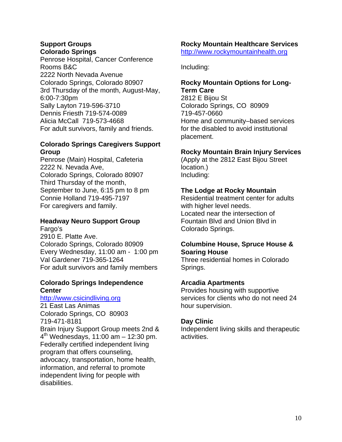#### **Support Groups Colorado Springs**

Penrose Hospital, Cancer Conference Rooms B&C 2222 North Nevada Avenue Colorado Springs, Colorado 80907 3rd Thursday of the month, August-May, 6:00-7:30pm Sally Layton 719-596-3710 Dennis Friesth 719-574-0089 Alicia McCall 719-573-4668 For adult survivors, family and friends.

#### **Colorado Springs Caregivers Support Group**

Penrose (Main) Hospital, Cafeteria 2222 N. Nevada Ave, Colorado Springs, Colorado 80907 Third Thursday of the month, September to June, 6:15 pm to 8 pm Connie Holland 719-495-7197 For caregivers and family.

#### **Headway Neuro Support Group**  Fargo's

2910 E. Platte Ave. Colorado Springs, Colorado 80909 Every Wednesday, 11:00 am - 1:00 pm Val Gardener 719-365-1264 For adult survivors and family members

#### **Colorado Springs Independence Center**

#### [http://www.csicindliving.org](http://www.csicindliving.org/)

21 East Las Animas Colorado Springs, CO 80903 719-471-8181 Brain Injury Support Group meets 2nd &  $4<sup>th</sup>$  Wednesdays, 11:00 am  $-$  12:30 pm. Federally certified independent living program that offers counseling, advocacy, transportation, home health, information, and referral to promote independent living for people with disabilities.

#### **Rocky Mountain Healthcare Services**  [http://www.rockymountainhealth.org](http://www.rockymountainhealth.org/)

Including:

#### **Rocky Mountain Options for Long-Term Care**

2812 E Bijou St Colorado Springs, CO 80909 719-457-0660 Home and community–based services for the disabled to avoid institutional placement.

#### **Rocky Mountain Brain Injury Services**

(Apply at the 2812 East Bijou Street location.) Including:

#### **The Lodge at Rocky Mountain**

Residential treatment center for adults with higher level needs. Located near the intersection of Fountain Blvd and Union Blvd in Colorado Springs.

#### **Columbine House, Spruce House & Soaring House**

Three residential homes in Colorado Springs.

#### **Arcadia Apartments**

Provides housing with supportive services for clients who do not need 24 hour supervision.

#### **Day Clinic**

Independent living skills and therapeutic activities.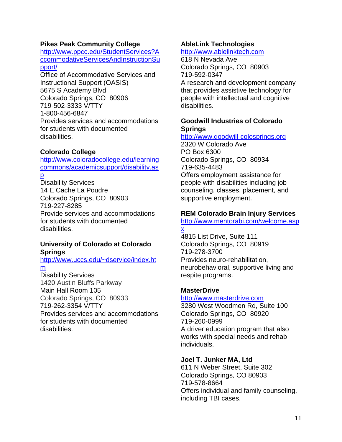#### **Pikes Peak Community College**

[http://www.ppcc.edu/StudentServices?A](http://www.ppcc.edu/StudentServices?AccommodativeServicesAndInstructionSupport/) [ccommodativeServicesAndInstructionSu](http://www.ppcc.edu/StudentServices?AccommodativeServicesAndInstructionSupport/) [pport/](http://www.ppcc.edu/StudentServices?AccommodativeServicesAndInstructionSupport/)

Office of Accommodative Services and Instructional Support (OASIS) 5675 S Academy Blvd Colorado Springs, CO 80906 719-502-3333 V/TTY 1-800-456-6847 Provides services and accommodations for students with documented disabilities.

#### **Colorado College**

[http://www.coloradocollege.edu/learning](http://www.coloradocollege.edu/learningcommons/academicsupport/disability.asp) [commons/academicsupport/disability.as](http://www.coloradocollege.edu/learningcommons/academicsupport/disability.asp)

[p](http://www.coloradocollege.edu/learningcommons/academicsupport/disability.asp)

Disability Services 14 E Cache La Poudre Colorado Springs, CO 80903 719-227-8285 Provide services and accommodations for students with documented disabilities.

#### **University of Colorado at Colorado Springs**

[http://www.uccs.edu/~dservice/index.ht](http://www.uccs.edu/%7Edservice/index.htm) [m](http://www.uccs.edu/%7Edservice/index.htm)

Disability Services 1420 Austin Bluffs Parkway Main Hall Room 105 Colorado Springs, CO 80933 719-262-3354 V/TTY Provides services and accommodations for students with documented disabilities.

#### **AbleLink Technologies**

[http://www.ablelinktech.com](http://www.ablelinktech.com/)

618 N Nevada Ave Colorado Springs, CO 80903 719-592-0347 A research and development company that provides assistive technology for people with intellectual and cognitive disabilities.

#### **Goodwill Industries of Colorado Springs**

[http://www.goodwill-colosprings.org](http://www.goodwill-colosprings.org/)

2320 W Colorado Ave PO Box 6300 Colorado Springs, CO 80934 719-635-4483 Offers employment assistance for people with disabilities including job counseling, classes, placement, and supportive employment.

#### **REM Colorado Brain Injury Services**

[http://www.mentorabi.com/welcome.asp](http://www.mentorabi.com/welcome.aspx) [x](http://www.mentorabi.com/welcome.aspx)

4815 List Drive, Suite 111 Colorado Springs, CO 80919 719-278-3700 Provides neuro-rehabilitation, neurobehavioral, supportive living and respite programs.

#### **MasterDrive**

#### [http://www.masterdrive.com](http://www.masterdrive.com/)

3280 West Woodmen Rd, Suite 100 Colorado Springs, CO 80920 719-260-0999 A driver education program that also works with special needs and rehab individuals.

#### **Joel T. Junker MA, Ltd**

611 N Weber Street, Suite 302 Colorado Springs, CO 80903 719-578-8664 Offers individual and family counseling, including TBI cases.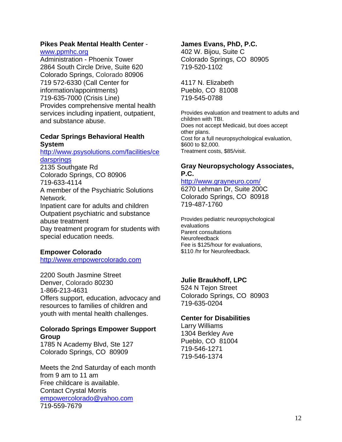#### **Pikes Peak Mental Health Center** -

#### [www.ppmhc.org](http://www.ppmhc.org/)

Administration - Phoenix Tower 2864 South Circle Drive, Suite 620 Colorado Springs, Colorado 80906 719 572-6330 (Call Center for information/appointments) 719-635-7000 (Crisis Line) Provides comprehensive mental health services including inpatient, outpatient, and substance abuse.

#### **Cedar Springs Behavioral Health System**

#### [http://www.psysolutions.com/facilities/ce](http://www.psysolutions.com/facilities/cedarsprings) **[darsprings](http://www.psysolutions.com/facilities/cedarsprings)**

2135 Southgate Rd Colorado Springs, CO 80906 719-633-4114 A member of the Psychiatric Solutions Network. Inpatient care for adults and children Outpatient psychiatric and substance abuse treatment Day treatment program for students with special education needs.

#### **Empower Colorado**

[http://www.empowercolorado.com](http://www.empowercolorado.com/)

2200 South Jasmine Street Denver, Colorado 80230 1-866-213-4631 Offers support, education, advocacy and resources to families of children and youth with mental health challenges.

#### **Colorado Springs Empower Support Group**

1785 N Academy Blvd, Ste 127 Colorado Springs, CO 80909

Meets the 2nd Saturday of each month from 9 am to 11 am Free childcare is available. Contact Crystal Morris [empowercolorado@yahoo.com](mailto:empowercolorado@yahoo.com) 719-559-7679

#### **James Evans, PhD, P.C.**

402 W. Bijou, Suite C Colorado Springs, CO 80905 719-520-1102

4117 N. Elizabeth Pueblo, CO 81008 719-545-0788

Provides evaluation and treatment to adults and children with TBI. Does not accept Medicaid, but does accept other plans. Cost for a full neuropsychological evaluation, \$600 to \$2,000. Treatment costs, \$85/visit.

#### **Gray Neuropsychology Associates, P.C.**

#### <http://www.grayneuro.com/>

6270 Lehman Dr, Suite 200C Colorado Springs, CO 80918 719-487-1760

Provides pediatric neuropsychological evaluations Parent consultations Neurofeedback Fee is \$125/hour for evaluations, \$110 /hr for Neurofeedback.

## **Julie Braukhoff, LPC**

524 N Tejon Street Colorado Springs, CO 80903 719-635-0204

#### **Center for Disabilities**

Larry Williams 1304 Berkley Ave Pueblo, CO 81004 719-546-1271 719-546-1374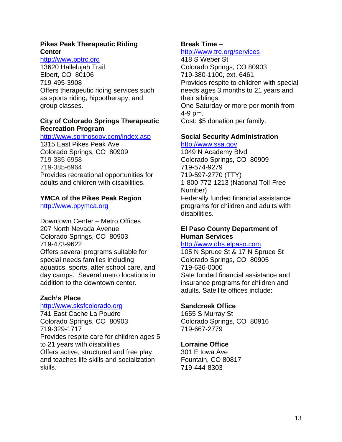#### **Pikes Peak Therapeutic Riding Center**

#### [http://www.pptrc.org](http://www.pptrc.org/)

13620 Hallelujah Trail Elbert, CO 80106 719-495-3908 Offers therapeutic riding services such as sports riding, hippotherapy, and group classes.

#### **City of Colorado Springs Therapeutic Recreation Program** -

#### <http://www.springsgov.com/index.asp>

1315 East Pikes Peak Ave Colorado Springs, CO 80909 719-385-6958 719-385-6964 Provides recreational opportunities for adults and children with disabilities.

#### **YMCA of the Pikes Peak Region**

[http://www.ppymca.org](http://www.ppymca.org/)

Downtown Center – Metro Offices 207 North Nevada Avenue Colorado Springs, CO 80903 719-473-9622 Offers several programs suitable for special needs families including aquatics, sports, after school care, and day camps. Several metro locations in addition to the downtown center.

#### **Zach's Place**

[http://www.sksfcolorado.org](http://www.sksfcolorado.org/) 741 East Cache La Poudre Colorado Springs, CO 80903 719-329-1717 Provides respite care for children ages 5 to 21 years with disabilities Offers active, structured and free play and teaches life skills and socialization skills.

#### **Break Time** – <http://www.tre.org/services>

418 S Weber St Colorado Springs, CO 80903 719-380-1100, ext. 6461 Provides respite to children with special needs ages 3 months to 21 years and their siblings. One Saturday or more per month from 4-9 pm. Cost: \$5 donation per family.

#### **Social Security Administration**

[http://www.ssa.gov](http://www.ssa.gov/) 1049 N Academy Blvd Colorado Springs, CO 80909 719-574-9279 719-597-2770 (TTY) 1-800-772-1213 (National Toll-Free Number) Federally funded financial assistance programs for children and adults with

#### **El Paso County Department of Human Services**

#### [http://www.dhs.elpaso.com](http://www.dhs.elpaso.com/)

105 N Spruce St & 17 N Spruce St Colorado Springs, CO 80905 719-636-0000 Sate funded financial assistance and insurance programs for children and adults. Satellite offices include:

#### **Sandcreek Office**

disabilities.

1655 S Murray St Colorado Springs, CO 80916 719-667-2779

#### **Lorraine Office**

301 E Iowa Ave Fountain, CO 80817 719-444-8303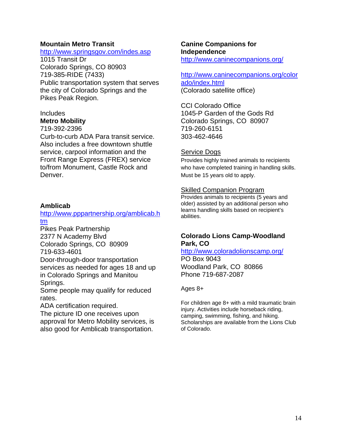#### **Mountain Metro Transit**

#### <http://www.springsgov.com/indes.asp>

1015 Transit Dr Colorado Springs, CO 80903 719-385-RIDE (7433) Public transportation system that serves the city of Colorado Springs and the Pikes Peak Region.

# Includes

# **Metro Mobility**

719-392-2396

Curb-to-curb ADA Para transit service. Also includes a free downtown shuttle service, carpool information and the Front Range Express (FREX) service to/from Monument, Castle Rock and Denver.

#### **Amblicab**

#### [http://www.pppartnership.org/amblicab.h](http://www.pppartnership.org/amblicab.htm) [tm](http://www.pppartnership.org/amblicab.htm)

Pikes Peak Partnership 2377 N Academy Blvd Colorado Springs, CO 80909

719-633-4601

Door-through-door transportation services as needed for ages 18 and up in Colorado Springs and Manitou Springs.

Some people may qualify for reduced rates.

ADA certification required.

The picture ID one receives upon approval for Metro Mobility services, is also good for Amblicab transportation.

#### **Canine Companions for Independence**

<http://www.caninecompanions.org/>

### [http://www.caninecompanions.org/color](http://www.caninecompanions.org/colorado/index.html)

[ado/index.html](http://www.caninecompanions.org/colorado/index.html) (Colorado satellite office)

CCI Colorado Office 1045-P Garden of the Gods Rd Colorado Springs, CO 80907 719-260-6151 303-462-4646

#### Service Dogs

Provides highly trained animals to recipients who have completed training in handling skills. Must be 15 years old to apply.

#### Skilled Companion Program

Provides animals to recipients (5 years and older) assisted by an additional person who learns handling skills based on recipient's abilities.

#### **Colorado Lions Camp-Woodland Park, CO**

<http://www.coloradolionscamp.org/> PO Box 9043 Woodland Park, CO 80866 Phone 719-687-2087

Ages 8+

For children age 8+ with a mild traumatic brain injury. Activities include horseback riding, camping, swimming, fishing, and hiking.<br>Scholarships are available from the Lions Club of Colorado.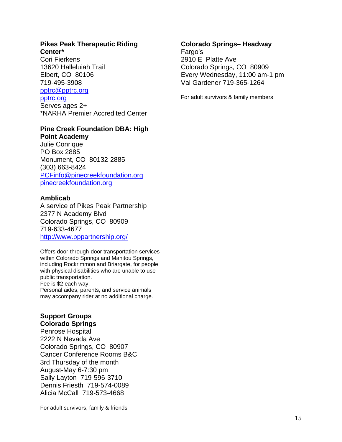#### **Pikes Peak Therapeutic Riding Center\***

Cori Fierkens 13620 Halleluiah Trail Elbert, CO 80106 719-495-3908 [pptrc@pptrc.org](mailto:pptrc@pptrc.org)

#### [pptrc.org](http://pptrc.org/)

Serves ages 2+ \*NARHA Premier Accredited Center

## **Pine Creek Foundation DBA: High**

**Point Academy**  Julie Conrique PO Box 2885 Monument, CO 80132-2885 (303) 663-8424 [PCFinfo@pinecreekfoundation.org](mailto:highpointacademy@pinecreekfoundation.org) [pinecreekfoundation.org](http://pinecreekfoundation.org/)

#### **Amblicab**

A service of Pikes Peak Partnership 2377 N Academy Blvd Colorado Springs, CO 80909 719-633-4677 <http://www.pppartnership.org/>

Offers door-through-door transportation services within Colorado Springs and Manitou Springs, including Rockrimmon and Briargate, for people with physical disabilities who are unable to use public transportation. Fee is \$2 each way. Personal aides, parents, and service animals may accompany rider at no additional charge.

#### **Support Groups Colorado Springs**

Penrose Hospital 2222 N Nevada Ave Colorado Springs, CO 80907 Cancer Conference Rooms B&C 3rd Thursday of the month August-May 6-7:30 pm Sally Layton 719-596-3710 Dennis Friesth 719-574-0089 Alicia McCall 719-573-4668

# Fargo's

2910 E Platte Ave Colorado Springs, CO 80909 Every Wednesday, 11:00 am-1 pm Val Gardener 719-365-1264

For adult survivors & family members

**Colorado Springs– Headway** 

For adult survivors, family & friends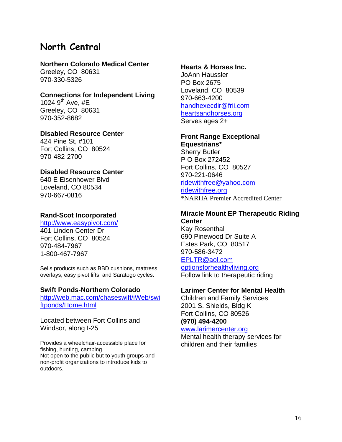# **North Central**

#### **Northern Colorado Medical Center**

Greeley, CO 80631 970-330-5326

#### **Connections for Independent Living**  1024  $9^{th}$  Ave, #E Greeley, CO 80631 970-352-8682

#### **Disabled Resource Center**  424 Pine St, #101 Fort Collins, CO 80524

970-482-2700

#### **Disabled Resource Center**

640 E Eisenhower Blvd Loveland, CO 80534 970-667-0816

#### **Rand-Scot Incorporated**

#### <http://www.easypivot.com/>

401 Linden Center Dr Fort Collins, CO 80524 970-484-7967 1-800-467-7967

Sells products such as BBD cushions, mattress overlays, easy pivot lifts, and Saratogo cycles.

#### **Swift Ponds-Northern Colorado**

[http://web.mac.com/chaseswift/iWeb/swi](http://web.mac.com/chaseswift/iWeb/swiftponds/Home.html) [ftponds/Home.html](http://web.mac.com/chaseswift/iWeb/swiftponds/Home.html)

Located between Fort Collins and Windsor, along I-25

Provides a wheelchair-accessible place for fishing, hunting, camping. Not open to the public but to youth groups and non-profit organizations to introduce kids to outdoors.

#### **Hearts & Horses Inc.**

JoAnn Haussler PO Box 2675 Loveland, CO 80539 970-663-4200 [handhexecdir@frii.com](mailto:handhexecdir@frii.com) [heartsandhorses.org](http://heartsandhorses.org/) Serves ages 2+

#### **Front Range Exceptional**

**Equestrians\*** Sherry Butler P O Box 272452 Fort Collins, CO 80527 970-221-0646 [ridewithfree@yahoo.com](mailto:ridewithfree@yahoo.com) [ridewithfree.org](http://ridewithfree.org/) \*NARHA Premier Accredited Center

#### **Miracle Mount EP Therapeutic Riding Center**

Kay Rosenthal 690 Pinewood Dr Suite A Estes Park, CO 80517 970-586-3472 [EPLTR@aol.com](mailto:EPLTR@aol.com) [optionsforhealthyliving.org](http://optionsforhealthyliving.org/) Follow link to therapeutic riding

#### **Larimer Center for Mental Health**

Children and Family Services 2001 S. Shields, Bldg K Fort Collins, CO 80526 **(970) 494-4200** 

#### [www.larimercenter.org](http://www.larimercenter.org/)

Mental health therapy services for children and their families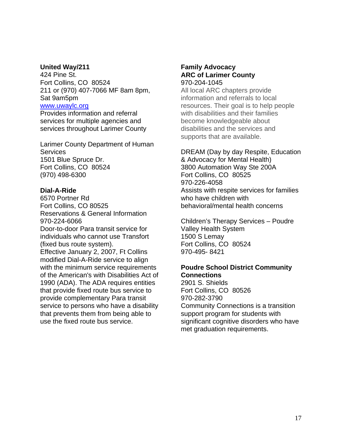#### **United Way/211**

424 Pine St. Fort Collins, CO 80524 211 or (970) 407-7066 MF 8am 8pm, Sat 9am5pm [www.uwaylc.org](http://www.uwaylc.org/)

Provides information and referral services for multiple agencies and services throughout Larimer County

Larimer County Department of Human **Services** 1501 Blue Spruce Dr. Fort Collins, CO 80524 (970) 498-6300

#### **Dial-A-Ride**

6570 Portner Rd Fort Collins, CO 80525 Reservations & General Information 970-224-6066 Door-to-door Para transit service for individuals who cannot use Transfort (fixed bus route system). Effective January 2, 2007, Ft Collins modified Dial-A-Ride service to align with the minimum service requirements of the American's with Disabilities Act of 1990 (ADA). The ADA requires entities that provide fixed route bus service to provide complementary Para transit service to persons who have a disability that prevents them from being able to use the fixed route bus service.

#### **Family Advocacy ARC of Larimer County**  970-204-1045

All local ARC chapters provide information and referrals to local resources. Their goal is to help people with disabilities and their families become knowledgeable about disabilities and the services and supports that are available.

#### DREAM (Day by day Respite, Education

& Advocacy for Mental Health) 3800 Automation Way Ste 200A Fort Collins, CO 80525 970-226-4058 Assists with respite services for families who have children with behavioral/mental health concerns

Children's Therapy Services – Poudre Valley Health System 1500 S Lemay Fort Collins, CO 80524 970-495- 8421

#### **Poudre School District Community Connections**

2901 S. Shields Fort Collins, CO 80526 970-282-3790 Community Connections is a transition support program for students with significant cognitive disorders who have met graduation requirements.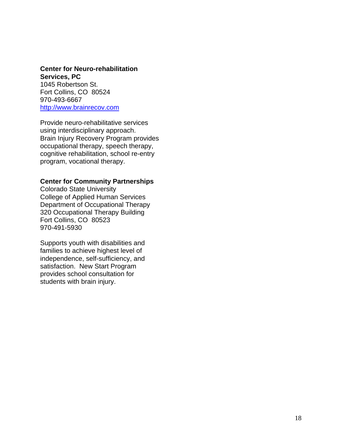#### **Center for Neuro-rehabilitation Services, PC**

1045 Robertson St. Fort Collins, CO 80524 970-493-6667 [http://www.brainrecov.com](http://www.brainrecov.com/)

Provide neuro-rehabilitative services using interdisciplinary approach. Brain Injury Recovery Program provides occupational therapy, speech therapy, cognitive rehabilitation, school re-entry program, vocational therapy.

#### **Center for Community Partnerships**

Colorado State University College of Applied Human Services Department of Occupational Therapy 320 Occupational Therapy Building Fort Collins, CO 80523 970-491-5930

Supports youth with disabilities and families to achieve highest level of independence, self-sufficiency, and satisfaction. New Start Program provides school consultation for students with brain injury.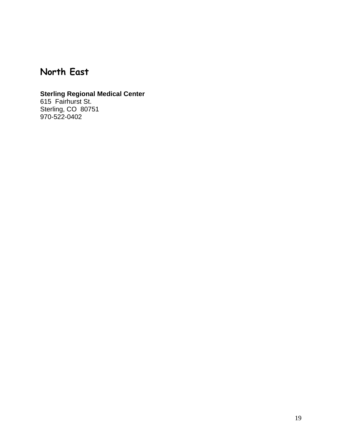# **North East**

#### **Sterling Regional Medical Center**

615 Fairhurst St. Sterling, CO 80751 970-522-0402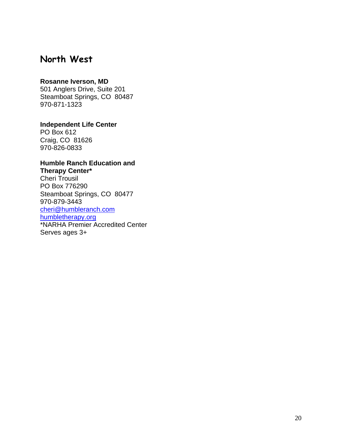# **North West**

#### **Rosanne Iverson, MD**

501 Anglers Drive, Suite 201 Steamboat Springs, CO 80487 970-871-1323

**Independent Life Center** 

PO Box 612 Craig, CO 81626 970-826-0833

#### **Humble Ranch Education and Therapy Center\***

Cheri Trousil PO Box 776290 Steamboat Springs, CO 80477 970-879-3443 [cheri@humbleranch.com](mailto:cheri@humbleranch.com) [humbletherapy.org](http://humbletherapy.org/) \*NARHA Premier Accredited Center Serves ages 3+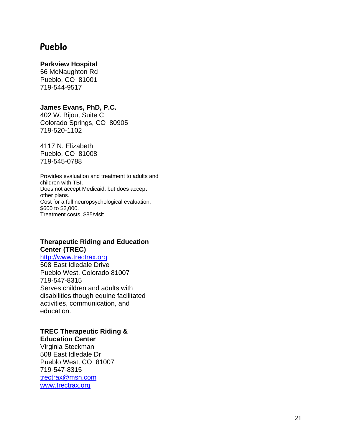# **Pueblo**

#### **Parkview Hospital**

56 McNaughton Rd Pueblo, CO 81001 719-544-9517

#### **James Evans, PhD, P.C.**

402 W. Bijou, Suite C Colorado Springs, CO 80905 719-520-1102

4117 N. Elizabeth Pueblo, CO 81008 719-545-0788

Provides evaluation and treatment to adults and children with TBI. Does not accept Medicaid, but does accept other plans. Cost for a full neuropsychological evaluation, \$600 to \$2,000. Treatment costs, \$85/visit.

#### **Therapeutic Riding and Education Center (TREC)**

[http://www.trectrax.org](http://www.trectrax.org/) 508 East Idledale Drive Pueblo West, Colorado 81007 719-547-8315 Serves children and adults with disabilities though equine facilitated activities, communication, and education.

#### **TREC Therapeutic Riding & Education Center**

Virginia Steckman 508 East Idledale Dr Pueblo West, CO 81007 719-547-8315 [trectrax@msn.com](mailto:trectrax@msn.com) [www.trectrax.org](http://www.trectrax.org/)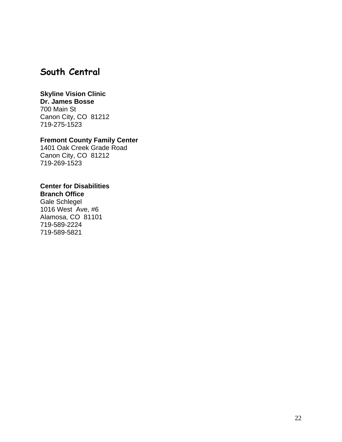# **South Central**

#### **Skyline Vision Clinic**

**Dr. James Bosse**  700 Main St

Canon City, CO 81212 719-275-1523

#### **Fremont County Family Center**

1401 Oak Creek Grade Road Canon City, CO 81212 719-269-1523

#### **Center for Disabilities**

#### **Branch Office**

Gale Schlegel 1016 West Ave, #6 Alamosa, CO 81101 719-589-2224 719-589-5821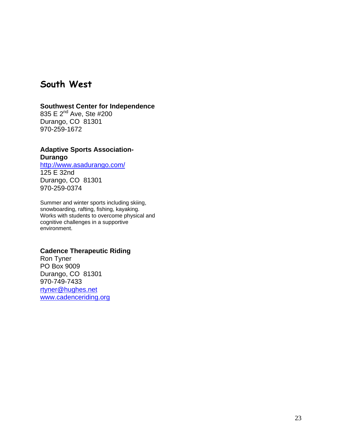# **South West**

#### **Southwest Center for Independence**

835 E 2<sup>nd</sup> Ave, Ste #200 Durango, CO 81301 970-259-1672

#### **Adaptive Sports Association-Durango**

<http://www.asadurango.com/> 125 E 32nd Durango, CO 81301 970-259-0374

Summer and winter sports including skiing, snowboarding, rafting, fishing, kayaking. Works with students to overcome physical and cognitive challenges in a supportive environment.

#### **Cadence Therapeutic Riding**

Ron Tyner PO Box 9009 Durango, CO 81301 970-749-7433 [rtyner@hughes.net](mailto:rtyner@hughes.net) [www.cadenceriding.org](http://www.cadenceriding.org/)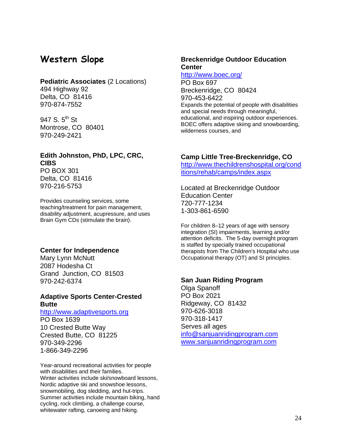# **Western Slope**

#### **Pediatric Associates** (2 Locations)

494 Highway 92 Delta, CO 81416 970-874-7552

947 S.  $5^{th}$  St Montrose, CO 80401 970-249-2421

#### **Edith Johnston, PhD, LPC, CRC, CIBS**  PO BOX 301 Delta, CO 81416 970-216-5753

Provides counseling services, some teaching/treatment for pain management, disability adjustment, acupressure, and uses Brain Gym CDs (stimulate the brain).

#### **Center for Independence**

Mary Lynn McNutt 2087 Hodesha Ct Grand Junction, CO 81503 970-242-6374

#### **Adaptive Sports Center-Crested Butte**

[http://www.adaptivesports.org](http://www.adaptivesports.org/) PO Box 1639 10 Crested Butte Way Crested Butte, CO 81225 970-349-2296 1-866-349-2296

Year-around recreational activities for people with disabilities and their families. Winter activities include ski/snowboard lessons, Nordic adaptive ski and snowshoe lessons, snowmobiling, dog sledding, and hut-trips. Summer activities include mountain biking, hand cycling, rock climbing, a challenge course, whitewater rafting, canoeing and hiking.

#### **Breckenridge Outdoor Education Center**

#### <http://www.boec.org/>

PO Box 697 Breckenridge, CO 80424 970-453-6422 Expands the potential of people with disabilities and special needs through meaningful, educational, and inspiring outdoor experiences. BOEC offers adaptive skiing and snowboarding, wilderness courses, and

#### **Camp Little Tree-Breckenridge, CO**

[http://www.thechildrenshospital.org/cond](http://www.thechildrenshospital.org/conditions/rehab/camps/index.aspx) [itions/rehab/camps/index.aspx](http://www.thechildrenshospital.org/conditions/rehab/camps/index.aspx)

Located at Breckenridge Outdoor Education Center 720-777-1234 1-303-861-6590

For children 8–12 years of age with sensory integration (SI) impairments, learning and/or attention deficits. The 5-day overnight program is staffed by specially trained occupational therapists from The Children's Hospital who use Occupational therapy (OT) and SI principles.

#### **San Juan Riding Program**

Olga Spanoff PO Box 2021 Ridgeway, CO 81432 970-626-3018 970-318-1417 Serves all ages [info@sanjuanridingprogram.com](mailto:info@sanjuanridingprogram.com) [www.sanjuanridingprogram.com](http://www.sanjuanridingprogram.com/)